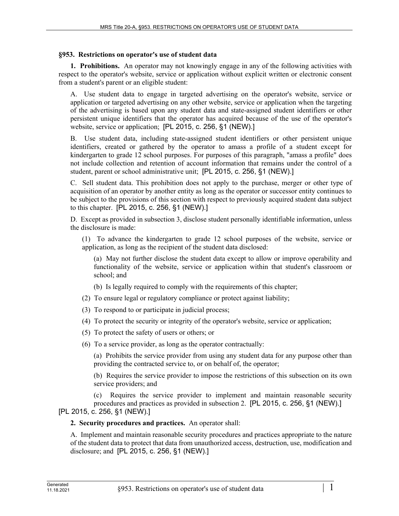## **§953. Restrictions on operator's use of student data**

**1. Prohibitions.** An operator may not knowingly engage in any of the following activities with respect to the operator's website, service or application without explicit written or electronic consent from a student's parent or an eligible student:

A. Use student data to engage in targeted advertising on the operator's website, service or application or targeted advertising on any other website, service or application when the targeting of the advertising is based upon any student data and state-assigned student identifiers or other persistent unique identifiers that the operator has acquired because of the use of the operator's website, service or application; [PL 2015, c. 256, §1 (NEW).]

B. Use student data, including state-assigned student identifiers or other persistent unique identifiers, created or gathered by the operator to amass a profile of a student except for kindergarten to grade 12 school purposes. For purposes of this paragraph, "amass a profile" does not include collection and retention of account information that remains under the control of a student, parent or school administrative unit; [PL 2015, c. 256, §1 (NEW).]

C. Sell student data. This prohibition does not apply to the purchase, merger or other type of acquisition of an operator by another entity as long as the operator or successor entity continues to be subject to the provisions of this section with respect to previously acquired student data subject to this chapter. [PL 2015, c. 256, §1 (NEW).]

D. Except as provided in subsection 3, disclose student personally identifiable information, unless the disclosure is made:

(1) To advance the kindergarten to grade 12 school purposes of the website, service or application, as long as the recipient of the student data disclosed:

(a) May not further disclose the student data except to allow or improve operability and functionality of the website, service or application within that student's classroom or school; and

(b) Is legally required to comply with the requirements of this chapter;

- (2) To ensure legal or regulatory compliance or protect against liability;
- (3) To respond to or participate in judicial process;
- (4) To protect the security or integrity of the operator's website, service or application;
- (5) To protect the safety of users or others; or
- (6) To a service provider, as long as the operator contractually:

(a) Prohibits the service provider from using any student data for any purpose other than providing the contracted service to, or on behalf of, the operator;

(b) Requires the service provider to impose the restrictions of this subsection on its own service providers; and

(c) Requires the service provider to implement and maintain reasonable security procedures and practices as provided in subsection 2. [PL 2015, c. 256, §1 (NEW).] [PL 2015, c. 256, §1 (NEW).]

## **2. Security procedures and practices.** An operator shall:

A. Implement and maintain reasonable security procedures and practices appropriate to the nature of the student data to protect that data from unauthorized access, destruction, use, modification and disclosure; and [PL 2015, c. 256, §1 (NEW).]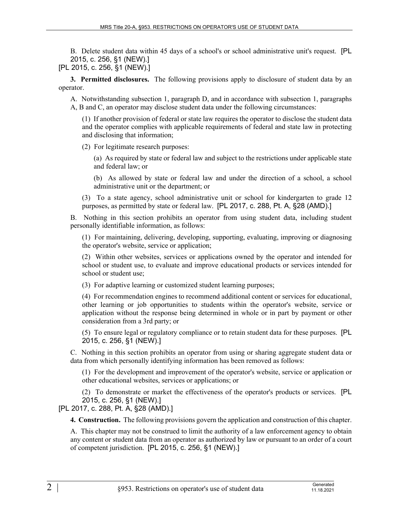B. Delete student data within 45 days of a school's or school administrative unit's request. [PL 2015, c. 256, §1 (NEW).]

[PL 2015, c. 256, §1 (NEW).]

**3. Permitted disclosures.** The following provisions apply to disclosure of student data by an operator.

A. Notwithstanding subsection 1, paragraph D, and in accordance with subsection 1, paragraphs A, B and C, an operator may disclose student data under the following circumstances:

(1) If another provision of federal or state law requires the operator to disclose the student data and the operator complies with applicable requirements of federal and state law in protecting and disclosing that information;

(2) For legitimate research purposes:

(a) As required by state or federal law and subject to the restrictions under applicable state and federal law; or

(b) As allowed by state or federal law and under the direction of a school, a school administrative unit or the department; or

(3) To a state agency, school administrative unit or school for kindergarten to grade 12 purposes, as permitted by state or federal law. [PL 2017, c. 288, Pt. A, §28 (AMD).]

B. Nothing in this section prohibits an operator from using student data, including student personally identifiable information, as follows:

(1) For maintaining, delivering, developing, supporting, evaluating, improving or diagnosing the operator's website, service or application;

(2) Within other websites, services or applications owned by the operator and intended for school or student use, to evaluate and improve educational products or services intended for school or student use;

(3) For adaptive learning or customized student learning purposes;

(4) For recommendation engines to recommend additional content or services for educational, other learning or job opportunities to students within the operator's website, service or application without the response being determined in whole or in part by payment or other consideration from a 3rd party; or

(5) To ensure legal or regulatory compliance or to retain student data for these purposes. [PL 2015, c. 256, §1 (NEW).]

C. Nothing in this section prohibits an operator from using or sharing aggregate student data or data from which personally identifying information has been removed as follows:

(1) For the development and improvement of the operator's website, service or application or other educational websites, services or applications; or

(2) To demonstrate or market the effectiveness of the operator's products or services. [PL 2015, c. 256, §1 (NEW).]

[PL 2017, c. 288, Pt. A, §28 (AMD).]

**4. Construction.** The following provisions govern the application and construction of this chapter.

A. This chapter may not be construed to limit the authority of a law enforcement agency to obtain any content or student data from an operator as authorized by law or pursuant to an order of a court of competent jurisdiction. [PL 2015, c. 256, §1 (NEW).]